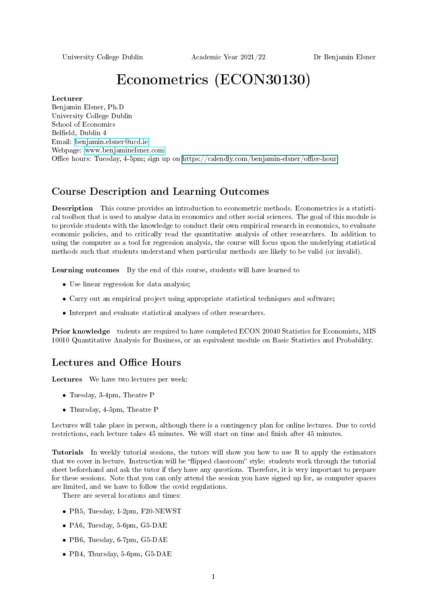University College Dublin Academic Year 2021/22 Dr Benjamin Elsner

# Econometrics (ECON30130)

#### Lecturer

Benjamin Elsner, Ph.D University College Dublin School of Economics Belfield, Dublin 4 Email: [benjamin.elsner@ucd.ie](mailto:benjamin.elsner@ucd.ie) Webpage: [www.benjaminelsner.com](http://www.benjaminelsner.com) Office hours: Tuesday,  $4-5$ pm; sign up on https://calendly.com/benjamin-elsner/office-hour

## Course Description and Learning Outcomes

Description This course provides an introduction to econometric methods. Econometrics is a statistical toolbox that is used to analyse data in economics and other social sciences. The goal of this module is to provide students with the knowledge to conduct their own empirical research in economics, to evaluate economic policies, and to critically read the quantitative analysis of other researchers. In addition to using the computer as a tool for regression analysis, the course will focus upon the underlying statistical methods such that students understand when particular methods are likely to be valid (or invalid).

Learning outcomes By the end of this course, students will have learned to

- Use linear regression for data analysis;
- Carry out an empirical project using appropriate statistical techniques and software;
- Interpret and evaluate statistical analyses of other researchers.

Prior knowledge tudents are required to have completed ECON 20040 Statistics for Economists, MIS 10010 Quantitative Analysis for Business, or an equivalent module on Basic Statistics and Probability.

### Lectures and Office Hours

Lectures We have two lectures per week:

- Tuesday, 3-4pm, Theatre P
- Thursday, 4-5pm, Theatre P

Lectures will take place in person, although there is a contingency plan for online lectures. Due to covid restrictions, each lecture takes 45 minutes. We will start on time and finish after 45 minutes.

Tutorials In weekly tutorial sessions, the tutors will show you how to use R to apply the estimators that we cover in lecture. Instruction will be "flipped classroom" style: students work through the tutorial sheet beforehand and ask the tutor if they have any questions. Therefore, it is very important to prepare for these sessions. Note that you can only attend the session you have signed up for, as computer spaces are limited, and we have to follow the covid regulations.

There are several locations and times:

- PB5, Tuesday, 1-2pm, F20-NEWST
- PA6, Tuesday, 5-6pm, G5-DAE
- PB6, Tuesday, 6-7pm, G5-DAE
- PB4, Thursday, 5-6pm, G5-DAE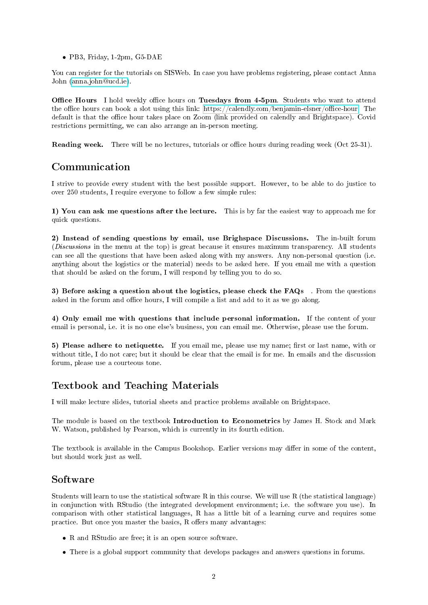• PB3, Friday, 1-2pm, G5-DAE

You can register for the tutorials on SISWeb. In case you have problems registering, please contact Anna John [\(anna.john@ucd.ie\)](anna.john@ucd.ie).

Office Hours I hold weekly office hours on Tuesdays from 4-5pm. Students who want to attend the office hours can book a slot using this link: https://calendly.com/benjamin-elsner/office-hour. The default is that the office hour takes place on Zoom (link provided on calendly and Brightspace). Covid restrictions permitting, we can also arrange an in-person meeting.

Reading week. There will be no lectures, tutorials or office hours during reading week (Oct 25-31).

## Communication

I strive to provide every student with the best possible support. However, to be able to do justice to over 250 students, I require everyone to follow a few simple rules:

1) You can ask me questions after the lecture. This is by far the easiest way to approach me for quick questions.

2) Instead of sending questions by email, use Brighspace Discussions. The in-built forum (Discussions in the menu at the top) is great because it ensures maximum transparency. All students can see all the questions that have been asked along with my answers. Any non-personal question (i.e. anything about the logistics or the material) needs to be asked here. If you email me with a question that should be asked on the forum, I will respond by telling you to do so.

3) Before asking a question about the logistics, please check the FAQs . From the questions asked in the forum and office hours, I will compile a list and add to it as we go along.

4) Only email me with questions that include personal information. If the content of your email is personal, i.e. it is no one else's business, you can email me. Otherwise, please use the forum.

5) Please adhere to netiquette. If you email me, please use my name; first or last name, with or without title, I do not care; but it should be clear that the email is for me. In emails and the discussion forum, please use a courteous tone.

# Textbook and Teaching Materials

I will make lecture slides, tutorial sheets and practice problems available on Brightspace.

The module is based on the textbook Introduction to Econometrics by James H. Stock and Mark W. Watson, published by Pearson, which is currently in its fourth edition.

The textbook is available in the Campus Bookshop. Earlier versions may differ in some of the content, but should work just as well.

### Software

Students will learn to use the statistical software R in this course. We will use R (the statistical language) in conjunction with RStudio (the integrated development environment; i.e. the software you use). In comparison with other statistical languages, R has a little bit of a learning curve and requires some practice. But once you master the basics,  $R$  offers many advantages:

- R and RStudio are free; it is an open source software.
- There is a global support community that develops packages and answers questions in forums.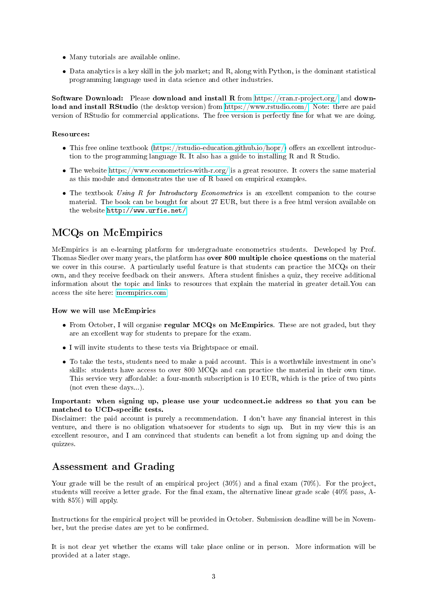- Many tutorials are available online.
- Data analytics is a key skill in the job market; and R, along with Python, is the dominant statistical programming language used in data science and other industries.

Software Download: Please download and install R from<https://cran.r-project.org/> and download and install RStudio (the desktop version) from [https://www.rstudio.com/.](https://www.rstudio.com/) Note: there are paid version of RStudio for commercial applications. The free version is perfectly fine for what we are doing.

#### Resources:

- This free online textbook [\(https://rstudio-education.github.io/hopr/\)](https://rstudio-education.github.io/hopr/) offers an excellent introduction to the programming language R. It also has a guide to installing R and R Studio.
- The website<https://www.econometrics-with-r.org/> is a great resource. It covers the same material as this module and demonstrates the use of R based on empirical examples.
- The textbook Using R for Introductory Econometrics is an excellent companion to the course material. The book can be bought for about 27 EUR, but there is a free html version available on the website [http://www.urfie.net/.](http://www.urfie.net/)

## MCQs on McEmpirics

McEmpirics is an e-learning platform for undergraduate econometrics students. Developed by Prof. Thomas Siedler over many years, the platform has over 800 multiple choice questions on the material we cover in this course. A particularly useful feature is that students can practice the MCQs on their own, and they receive feedback on their answers. Aftera student finishes a quiz, they receive additional information about the topic and links to resources that explain the material in greater detail.You can access the site here:<mcempirics.com>

#### How we will use McEmpirics

- From October, I will organise regular MCQs on McEmpirics. These are not graded, but they are an excellent way for students to prepare for the exam.
- I will invite students to these tests via Brightspace or email.
- To take the tests, students need to make a paid account. This is a worthwhile investment in one's skills: students have access to over 800 MCQs and can practice the material in their own time. This service very affordable: a four-month subscription is 10 EUR, which is the price of two pints (not even these days...).

Important: when signing up, please use your ucdconnect.ie address so that you can be matched to UCD-specific tests.

Disclaimer: the paid account is purely a recommendation. I don't have any financial interest in this venture, and there is no obligation whatsoever for students to sign up. But in my view this is an excellent resource, and I am convinced that students can benefit a lot from signing up and doing the quizzes.

## Assessment and Grading

Your grade will be the result of an empirical project  $(30\%)$  and a final exam  $(70\%)$ . For the project, students will receive a letter grade. For the final exam, the alternative linear grade scale  $(40\%$  pass, Awith 85%) will apply.

Instructions for the empirical project will be provided in October. Submission deadline will be in November, but the precise dates are yet to be confirmed.

It is not clear yet whether the exams will take place online or in person. More information will be provided at a later stage.